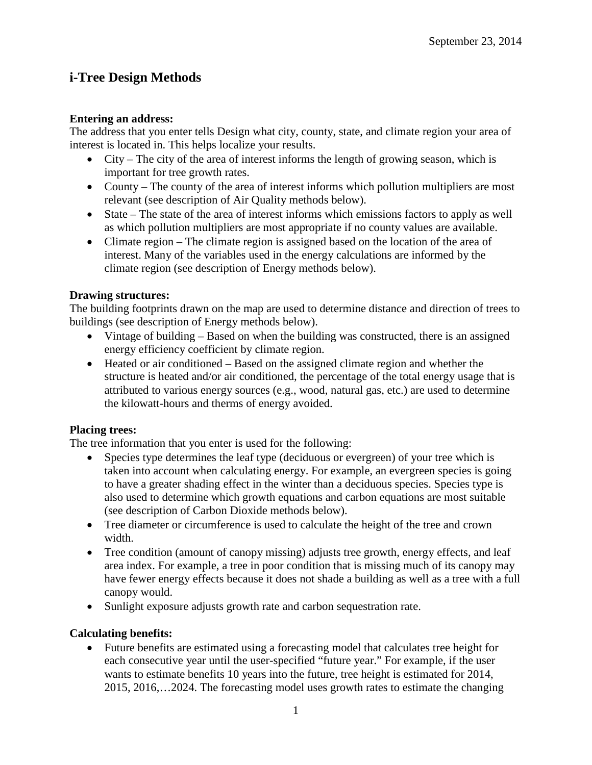# **i-Tree Design Methods**

#### **Entering an address:**

The address that you enter tells Design what city, county, state, and climate region your area of interest is located in. This helps localize your results.

- City The city of the area of interest informs the length of growing season, which is important for tree growth rates.
- County The county of the area of interest informs which pollution multipliers are most relevant (see description of Air Quality methods below).
- State The state of the area of interest informs which emissions factors to apply as well as which pollution multipliers are most appropriate if no county values are available.
- Climate region The climate region is assigned based on the location of the area of interest. Many of the variables used in the energy calculations are informed by the climate region (see description of Energy methods below).

### **Drawing structures:**

The building footprints drawn on the map are used to determine distance and direction of trees to buildings (see description of Energy methods below).

- Vintage of building Based on when the building was constructed, there is an assigned energy efficiency coefficient by climate region.
- Heated or air conditioned Based on the assigned climate region and whether the structure is heated and/or air conditioned, the percentage of the total energy usage that is attributed to various energy sources (e.g., wood, natural gas, etc.) are used to determine the kilowatt-hours and therms of energy avoided.

## **Placing trees:**

The tree information that you enter is used for the following:

- Species type determines the leaf type (deciduous or evergreen) of your tree which is taken into account when calculating energy. For example, an evergreen species is going to have a greater shading effect in the winter than a deciduous species. Species type is also used to determine which growth equations and carbon equations are most suitable (see description of Carbon Dioxide methods below).
- Tree diameter or circumference is used to calculate the height of the tree and crown width.
- Tree condition (amount of canopy missing) adjusts tree growth, energy effects, and leaf area index. For example, a tree in poor condition that is missing much of its canopy may have fewer energy effects because it does not shade a building as well as a tree with a full canopy would.
- Sunlight exposure adjusts growth rate and carbon sequestration rate.

## **Calculating benefits:**

• Future benefits are estimated using a forecasting model that calculates tree height for each consecutive year until the user-specified "future year." For example, if the user wants to estimate benefits 10 years into the future, tree height is estimated for 2014, 2015, 2016,…2024. The forecasting model uses growth rates to estimate the changing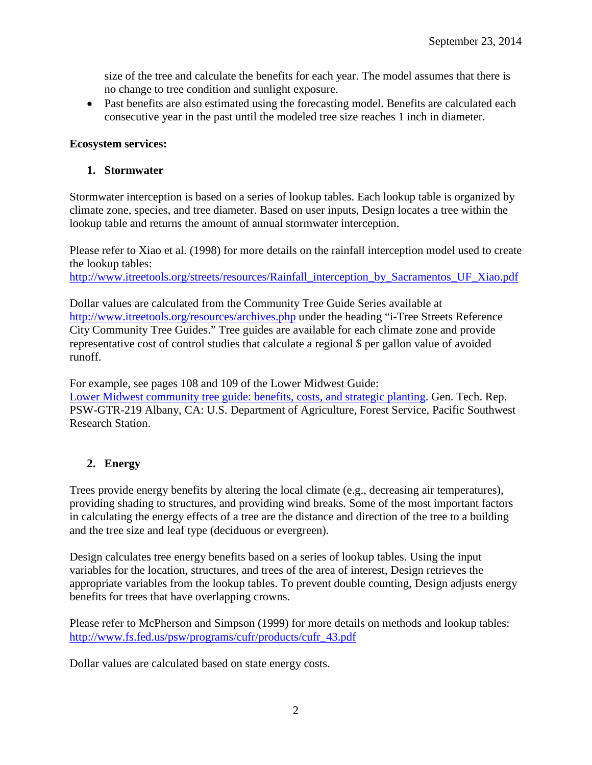size of the tree and calculate the benefits for each year. The model assumes that there is no change to tree condition and sunlight exposure.

• Past benefits are also estimated using the forecasting model. Benefits are calculated each consecutive year in the past until the modeled tree size reaches 1 inch in diameter.

#### **Ecosystem services:**

#### **1. Stormwater**

Stormwater interception is based on a series of lookup tables. Each lookup table is organized by climate zone, species, and tree diameter. Based on user inputs, Design locates a tree within the lookup table and returns the amount of annual stormwater interception.

Please refer to Xiao et al. (1998) for more details on the rainfall interception model used to create the lookup tables:

[http://www.itreetools.org/streets/resources/Rainfall\\_interception\\_by\\_Sacramentos\\_UF\\_Xiao.pdf](http://www.itreetools.org/streets/resources/Rainfall_interception_by_Sacramentos_UF_Xiao.pdf)

Dollar values are calculated from the Community Tree Guide Series available at <http://www.itreetools.org/resources/archives.php> under the heading "i-Tree Streets Reference City Community Tree Guides." Tree guides are available for each climate zone and provide representative cost of control studies that calculate a regional \$ per gallon value of avoided runoff.

For example, see pages 108 and 109 of the Lower Midwest Guide:

[Lower Midwest community tree guide: benefits, costs, and strategic planting.](http://www.itreetools.org/streets/resources/Streets_CTG/PSW_GTR219_Lower_Midwest_CTG.pdf) Gen. Tech. Rep. PSW-GTR-219 Albany, CA: U.S. Department of Agriculture, Forest Service, Pacific Southwest Research Station.

#### **2. Energy**

Trees provide energy benefits by altering the local climate (e.g., decreasing air temperatures), providing shading to structures, and providing wind breaks. Some of the most important factors in calculating the energy effects of a tree are the distance and direction of the tree to a building and the tree size and leaf type (deciduous or evergreen).

Design calculates tree energy benefits based on a series of lookup tables. Using the input variables for the location, structures, and trees of the area of interest, Design retrieves the appropriate variables from the lookup tables. To prevent double counting, Design adjusts energy benefits for trees that have overlapping crowns.

Please refer to McPherson and Simpson (1999) for more details on methods and lookup tables: [http://www.fs.fed.us/psw/programs/cufr/products/cufr\\_43.pdf](http://www.fs.fed.us/psw/programs/cufr/products/cufr_43.pdf)

Dollar values are calculated based on state energy costs.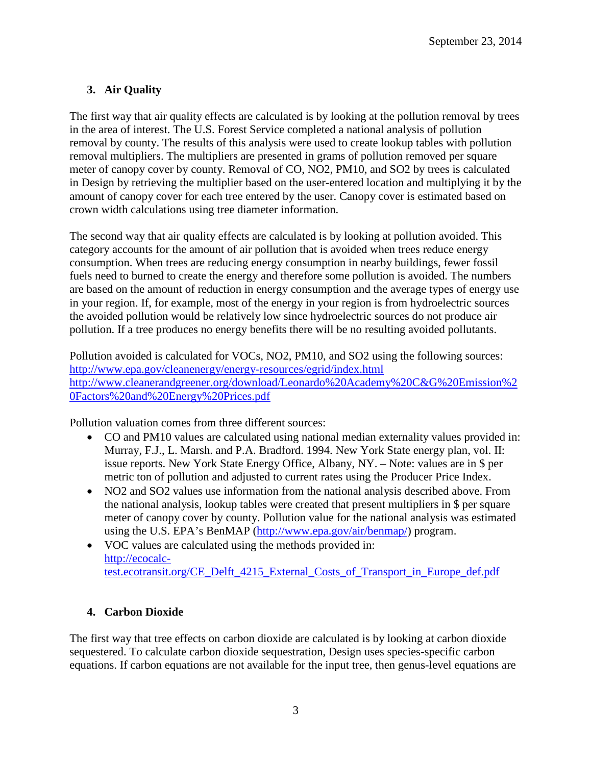## **3. Air Quality**

The first way that air quality effects are calculated is by looking at the pollution removal by trees in the area of interest. The U.S. Forest Service completed a national analysis of pollution removal by county. The results of this analysis were used to create lookup tables with pollution removal multipliers. The multipliers are presented in grams of pollution removed per square meter of canopy cover by county. Removal of CO, NO2, PM10, and SO2 by trees is calculated in Design by retrieving the multiplier based on the user-entered location and multiplying it by the amount of canopy cover for each tree entered by the user. Canopy cover is estimated based on crown width calculations using tree diameter information.

The second way that air quality effects are calculated is by looking at pollution avoided. This category accounts for the amount of air pollution that is avoided when trees reduce energy consumption. When trees are reducing energy consumption in nearby buildings, fewer fossil fuels need to burned to create the energy and therefore some pollution is avoided. The numbers are based on the amount of reduction in energy consumption and the average types of energy use in your region. If, for example, most of the energy in your region is from hydroelectric sources the avoided pollution would be relatively low since hydroelectric sources do not produce air pollution. If a tree produces no energy benefits there will be no resulting avoided pollutants.

Pollution avoided is calculated for VOCs, NO2, PM10, and SO2 using the following sources: <http://www.epa.gov/cleanenergy/energy-resources/egrid/index.html> [http://www.cleanerandgreener.org/download/Leonardo%20Academy%20C&G%20Emission%2](http://www.cleanerandgreener.org/download/Leonardo%20Academy%20C&G%20Emission%20Factors%20and%20Energy%20Prices.pdf) [0Factors%20and%20Energy%20Prices.pdf](http://www.cleanerandgreener.org/download/Leonardo%20Academy%20C&G%20Emission%20Factors%20and%20Energy%20Prices.pdf)

Pollution valuation comes from three different sources:

- CO and PM10 values are calculated using national median externality values provided in: Murray, F.J., L. Marsh. and P.A. Bradford. 1994. New York State energy plan, vol. II: issue reports. New York State Energy Office, Albany, NY. – Note: values are in \$ per metric ton of pollution and adjusted to current rates using the Producer Price Index.
- NO2 and SO2 values use information from the national analysis described above. From the national analysis, lookup tables were created that present multipliers in \$ per square meter of canopy cover by county. Pollution value for the national analysis was estimated using the U.S. EPA's BenMAP [\(http://www.epa.gov/air/benmap/\)](http://www.epa.gov/air/benmap/) program.
- VOC values are calculated using the methods provided in: [http://ecocalc](http://ecocalc-test.ecotransit.org/CE_Delft_4215_External_Costs_of_Transport_in_Europe_def.pdf)[test.ecotransit.org/CE\\_Delft\\_4215\\_External\\_Costs\\_of\\_Transport\\_in\\_Europe\\_def.pdf](http://ecocalc-test.ecotransit.org/CE_Delft_4215_External_Costs_of_Transport_in_Europe_def.pdf)

## **4. Carbon Dioxide**

The first way that tree effects on carbon dioxide are calculated is by looking at carbon dioxide sequestered. To calculate carbon dioxide sequestration, Design uses species-specific carbon equations. If carbon equations are not available for the input tree, then genus-level equations are